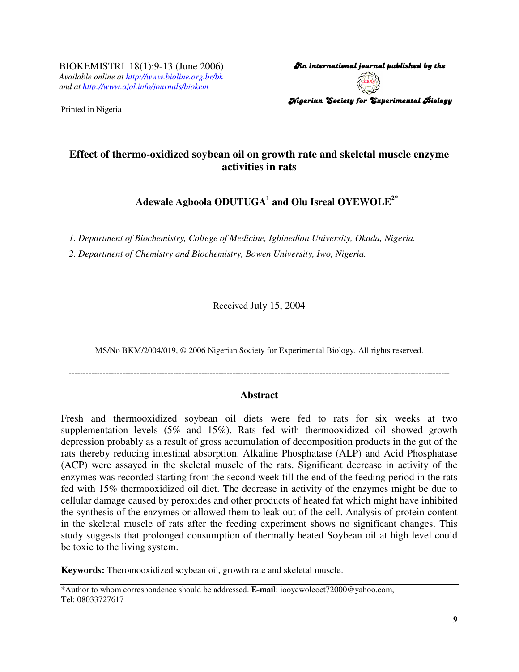BIOKEMISTRI 18(1):9-13 (June 2006) *Available online at http://www.bioline.org.br/bk and at http://www.ajol.info/journals/biokem*

Printed in Nigeria

An international journal published by the  $\,$ Nigerian Society for Experimental Biology

# **Effect of thermo-oxidized soybean oil on growth rate and skeletal muscle enzyme activities in rats**

**Adewale Agboola ODUTUGA 1 and Olu Isreal OYEWOLE 2\***

*1. Department of Biochemistry, College of Medicine, Igbinedion University, Okada, Nigeria.*

*2. Department of Chemistry and Biochemistry, Bowen University, Iwo, Nigeria.*

Received July 15, 2004

MS/No BKM/2004/019, © 2006 Nigerian Society for Experimental Biology. All rights reserved.

---------------------------------------------------------------------------------------------------------------------------------------

# **Abstract**

Fresh and thermooxidized soybean oil diets were fed to rats for six weeks at two supplementation levels (5% and 15%). Rats fed with thermooxidized oil showed growth depression probably as a result of gross accumulation of decomposition products in the gut of the rats thereby reducing intestinal absorption. Alkaline Phosphatase (ALP) and Acid Phosphatase (ACP) were assayed in the skeletal muscle of the rats. Significant decrease in activity of the enzymes was recorded starting from the second week till the end of the feeding period in the rats fed with 15% thermooxidized oil diet. The decrease in activity of the enzymes might be due to cellular damage caused by peroxides and other products of heated fat which might have inhibited the synthesis of the enzymes or allowed them to leak out of the cell. Analysis of protein content in the skeletal muscle of rats after the feeding experiment shows no significant changes. This study suggests that prolonged consumption of thermally heated Soybean oil at high level could be toxic to the living system.

**Keywords:** Theromooxidized soybean oil, growth rate and skeletal muscle.

<sup>\*</sup>Author to whom correspondence should be addressed. **E-mail**: iooyewoleoct72000@yahoo.com, **Tel**: 08033727617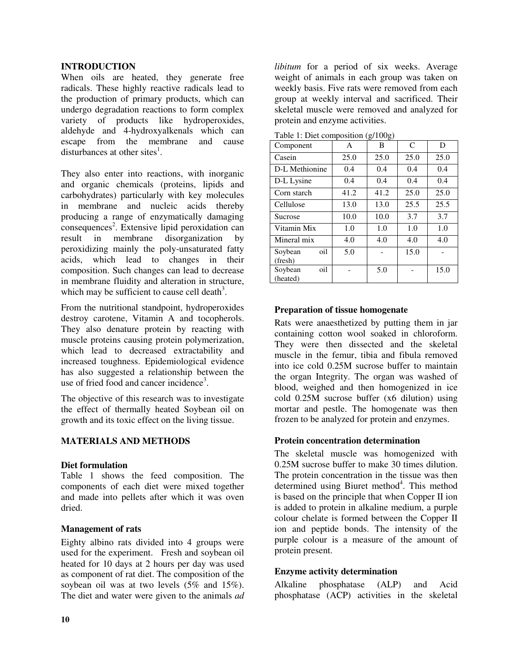# **INTRODUCTION**

When oils are heated, they generate free radicals. These highly reactive radicals lead to the production of primary products, which can undergo degradation reactions to form complex variety of products like hydroperoxides, aldehyde and 4-hydroxyalkenals which can escape from the membrane and cause disturbances at other sites<sup>1</sup>.

They also enter into reactions, with inorganic and organic chemicals (proteins, lipids and carbohydrates) particularly with key molecules in membrane and nucleic acids thereby producing a range of enzymatically damaging consequences 2 . Extensive lipid peroxidation can result in membrane disorganization by peroxidizing mainly the poly-unsaturated fatty acids, which lead to changes in their composition. Such changes can lead to decrease in membrane fluidity and alteration in structure, which may be sufficient to cause cell death<sup>3</sup>.

From the nutritional standpoint, hydroperoxides destroy carotene, Vitamin A and tocopherols. They also denature protein by reacting with muscle proteins causing protein polymerization, which lead to decreased extractability and increased toughness. Epidemiological evidence has also suggested a relationship between the use of fried food and cancer incidence<sup>3</sup>.

The objective of this research was to investigate the effect of thermally heated Soybean oil on growth and its toxic effect on the living tissue.

# **MATERIALS AND METHODS**

### **Diet formulation**

Table 1 shows the feed composition. The components of each diet were mixed together and made into pellets after which it was oven dried.

# **Management of rats**

Eighty albino rats divided into 4 groups were used for the experiment. Fresh and soybean oil heated for 10 days at 2 hours per day was used as component of rat diet. The composition of the soybean oil was at two levels (5% and 15%). The diet and water were given to the animals *ad*

*libitum* for a period of six weeks. Average weight of animals in each group was taken on weekly basis. Five rats were removed from each group at weekly interval and sacrificed. Their skeletal muscle were removed and analyzed for protein and enzyme activities.

| Component                  | A    | $\check{ }$<br>ے<br>B | $\mathsf{C}$ | D    |
|----------------------------|------|-----------------------|--------------|------|
| Casein                     | 25.0 | 25.0                  | 25.0         | 25.0 |
| D-L Methionine             | 0.4  | 0.4                   | 0.4          | 0.4  |
| D-L Lysine                 | 0.4  | 0.4                   | 0.4          | 0.4  |
| Corn starch                | 41.2 | 41.2                  | 25.0         | 25.0 |
| Cellulose                  | 13.0 | 13.0                  | 25.5         | 25.5 |
| Sucrose                    | 10.0 | 10.0                  | 3.7          | 3.7  |
| Vitamin Mix                | 1.0  | 1.0                   | 1.0          | 1.0  |
| Mineral mix                | 4.0  | 4.0                   | 4.0          | 4.0  |
| oil<br>Soybean<br>(fresh)  | 5.0  |                       | 15.0         |      |
| oil<br>Soybean<br>(heated) |      | 5.0                   |              | 15.0 |

Table 1: Diet composition (g/100g)

# **Preparation of tissue homogenate**

Rats were anaesthetized by putting them in jar containing cotton wool soaked in chloroform. They were then dissected and the skeletal muscle in the femur, tibia and fibula removed into ice cold 0.25M sucrose buffer to maintain the organ Integrity. The organ was washed of blood, weighed and then homogenized in ice cold 0.25M sucrose buffer (x6 dilution) using mortar and pestle. The homogenate was then frozen to be analyzed for protein and enzymes.

### **Protein concentration determination**

The skeletal muscle was homogenized with 0.25M sucrose buffer to make 30 times dilution. The protein concentration in the tissue was then determined using Biuret method<sup>4</sup>. This method is based on the principle that when Copper II ion is added to protein in alkaline medium, a purple colour chelate is formed between the Copper II ion and peptide bonds. The intensity of the purple colour is a measure of the amount of protein present.

# **Enzyme activity determination**

Alkaline phosphatase (ALP) and Acid phosphatase (ACP) activities in the skeletal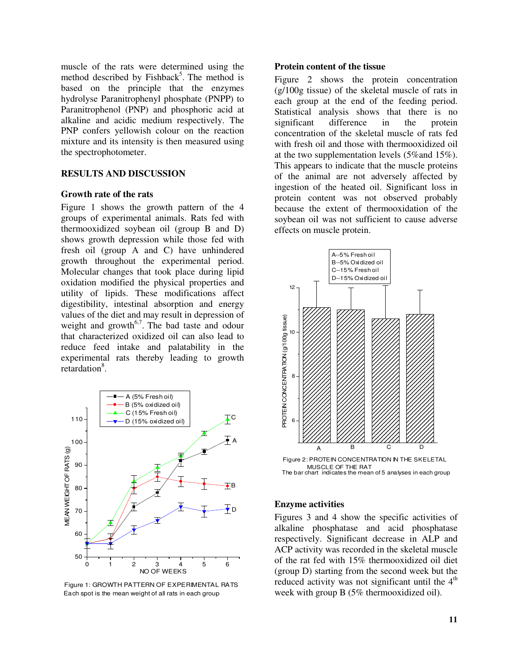muscle of the rats were determined using the method described by Fishback<sup>5</sup>. The method is based on the principle that the enzymes hydrolyse Paranitrophenyl phosphate (PNPP) to Paranitrophenol (PNP) and phosphoric acid at alkaline and acidic medium respectively. The PNP confers yellowish colour on the reaction mixture and its intensity is then measured using the spectrophotometer.

# **RESULTS AND DISCUSSION**

#### **Growth rate of the rats**

Figure 1 shows the growth pattern of the 4 groups of experimental animals. Rats fed with thermooxidized soybean oil (group B and D) shows growth depression while those fed with fresh oil (group A and C) have unhindered growth throughout the experimental period. Molecular changes that took place during lipid oxidation modified the physical properties and utility of lipids. These modifications affect digestibility, intestinal absorption and energy values of the diet and may result in depression of weight and growth<sup>6,7</sup>. The bad taste and odour that characterized oxidized oil can also lead to reduce feed intake and palatability in the experimental rats thereby leading to growth retardation<sup>8</sup>.



Each spot is the mean weight of all rats in each group Figure 1: GROWTH PATTERN OF EXPERIMENTAL RATS

#### **Protein content of the tissue**

Figure 2 shows the protein concentration (g/100g tissue) of the skeletal muscle of rats in each group at the end of the feeding period. Statistical analysis shows that there is no significant difference in the protein concentration of the skeletal muscle of rats fed with fresh oil and those with thermooxidized oil at the two supplementation levels (5%and 15%). This appears to indicate that the muscle proteins of the animal are not adversely affected by ingestion of the heated oil. Significant loss in protein content was not observed probably because the extent of thermooxidation of the soybean oil was not sufficient to cause adverse effects on muscle protein.



The bar chart indicates the mean of 5 analyses in each group

#### **Enzyme activities**

Figures 3 and 4 show the specific activities of alkaline phosphatase and acid phosphatase respectively. Significant decrease in ALP and ACP activity was recorded in the skeletal muscle of the rat fed with 15% thermooxidized oil diet (group D) starting from the second week but the reduced activity was not significant until the  $4<sup>th</sup>$ week with group B (5% thermooxidized oil).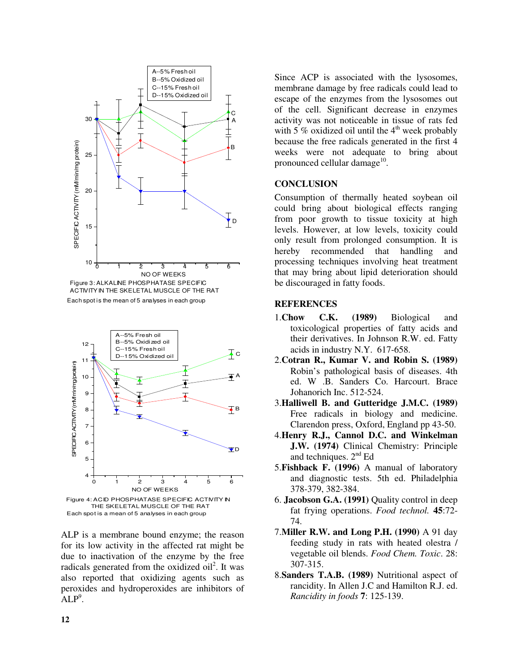

Each spot is the mean of 5 analyses in each group ACTIVITYIN THE SKELETAL MUSCLE OF THE RAT



ALP is a membrane bound enzyme; the reason for its low activity in the affected rat might be due to inactivation of the enzyme by the free radicals generated from the oxidized oil<sup>2</sup>. It was also reported that oxidizing agents such as peroxides and hydroperoxides are inhibitors of  $ALP<sup>9</sup>$ .

Since ACP is associated with the lysosomes, membrane damage by free radicals could lead to escape of the enzymes from the lysosomes out of the cell. Significant decrease in enzymes activity was not noticeable in tissue of rats fed with 5 % oxidized oil until the  $4<sup>th</sup>$  week probably because the free radicals generated in the first 4 weeks were not adequate to bring about pronounced cellular damage<sup>10</sup>.

# **CONCLUSION**

Consumption of thermally heated soybean oil could bring about biological effects ranging from poor growth to tissue toxicity at high levels. However, at low levels, toxicity could only result from prolonged consumption. It is hereby recommended that handling and processing techniques involving heat treatment that may bring about lipid deterioration should be discouraged in fatty foods.

#### **REFERENCES**

- 1.**Chow C.K. (1989)** Biological and toxicological properties of fatty acids and their derivatives. In Johnson R.W. ed. Fatty acids in industry N.Y. 617-658.
- 2.**Cotran R., Kumar V. and Robin S. (1989)** Robin's pathological basis of diseases. 4th ed. W .B. Sanders Co. Harcourt. Brace Johanorich Inc. 512-524.
- 3.**Halliwell B. and Gutteridge J.M.C. (1989)** Free radicals in biology and medicine. Clarendon press, Oxford, England pp 43-50.
- 4.**Henry R.J., Cannol D.C. and Winkelman J.W. (1974)** Clinical Chemistry: Principle and techniques. 2<sup>nd</sup> Ed
- 5.**Fishback F. (1996)** A manual of laboratory and diagnostic tests. 5th ed. Philadelphia 378-379, 382-384.
- 6. **Jacobson G.A. (1991)** Quality control in deep fat frying operations. *Food technol.* **45**:72- 74.
- 7.**Miller R.W. and Long P.H. (1990)** A 91 day feeding study in rats with heated olestra / vegetable oil blends. *Food Chem. Toxic*. 28: 307-315.
- 8.**Sanders T.A.B. (1989)** Nutritional aspect of rancidity. In Allen J.C and Hamilton R.J. ed. *Rancidity in foods* **7**: 125-139.